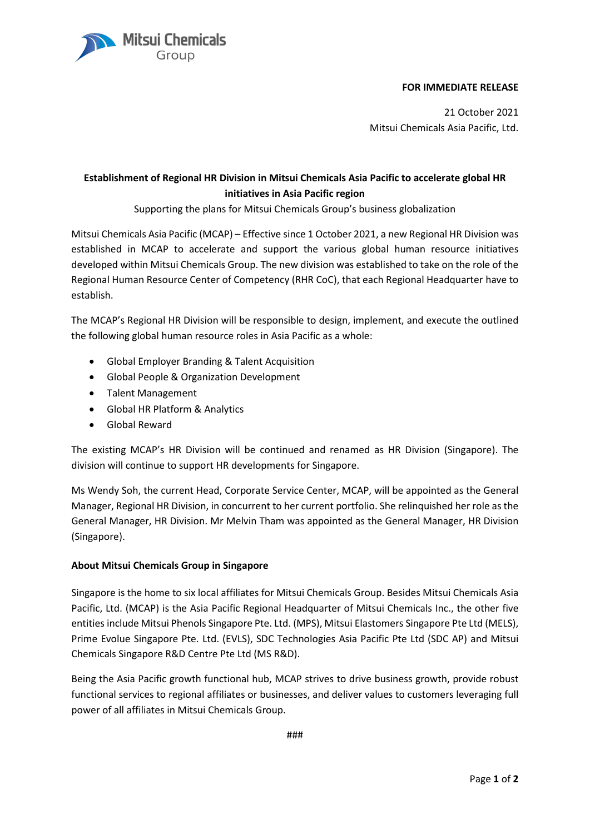## **FOR IMMEDIATE RELEASE**

21 October 2021 Mitsui Chemicals Asia Pacific, Ltd.

## **Establishment of Regional HR Division in Mitsui Chemicals Asia Pacific to accelerate global HR initiatives in Asia Pacific region**

Supporting the plans for Mitsui Chemicals Group's business globalization

Mitsui Chemicals Asia Pacific (MCAP) – Effective since 1 October 2021, a new Regional HR Division was established in MCAP to accelerate and support the various global human resource initiatives developed within Mitsui Chemicals Group. The new division was established to take on the role of the Regional Human Resource Center of Competency (RHR CoC), that each Regional Headquarter have to establish.

The MCAP's Regional HR Division will be responsible to design, implement, and execute the outlined the following global human resource roles in Asia Pacific as a whole:

- Global Employer Branding & Talent Acquisition
- Global People & Organization Development
- Talent Management
- Global HR Platform & Analytics

Mitsui Chemicals

• Global Reward

The existing MCAP's HR Division will be continued and renamed as HR Division (Singapore). The division will continue to support HR developments for Singapore.

Ms Wendy Soh, the current Head, Corporate Service Center, MCAP, will be appointed as the General Manager, Regional HR Division, in concurrent to her current portfolio. She relinquished her role as the General Manager, HR Division. Mr Melvin Tham was appointed as the General Manager, HR Division (Singapore).

## **About Mitsui Chemicals Group in Singapore**

Singapore is the home to six local affiliates for Mitsui Chemicals Group. Besides Mitsui Chemicals Asia Pacific, Ltd. (MCAP) is the Asia Pacific Regional Headquarter of Mitsui Chemicals Inc., the other five entities include Mitsui Phenols Singapore Pte. Ltd. (MPS), Mitsui Elastomers Singapore Pte Ltd (MELS), Prime Evolue Singapore Pte. Ltd. (EVLS), SDC Technologies Asia Pacific Pte Ltd (SDC AP) and Mitsui Chemicals Singapore R&D Centre Pte Ltd (MS R&D).

Being the Asia Pacific growth functional hub, MCAP strives to drive business growth, provide robust functional services to regional affiliates or businesses, and deliver values to customers leveraging full power of all affiliates in Mitsui Chemicals Group.